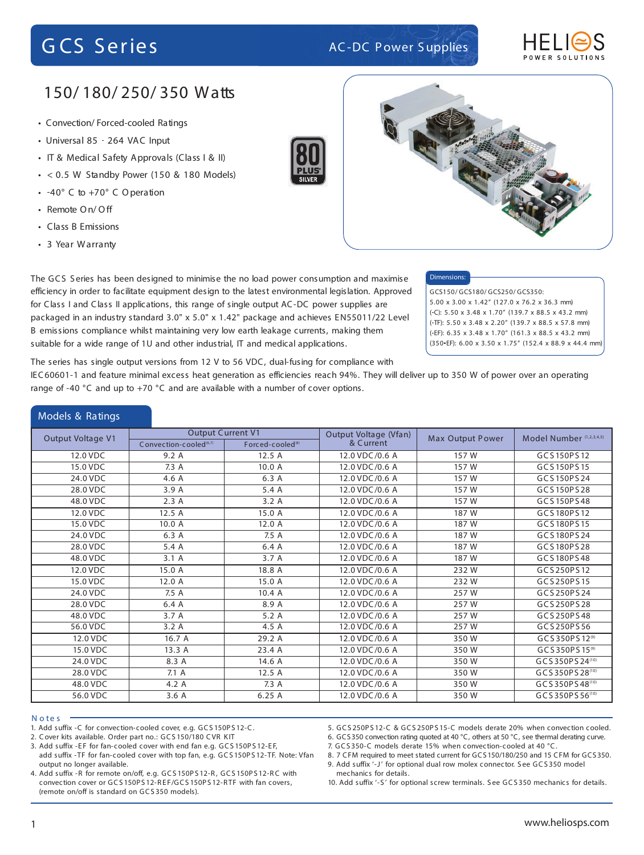

## 150/ 180/ 250/ 350 Watts

- Convection/ Forced cooled Ratings
- Universal 85 264 VAC Input
- IT & Medical Safety Approvals (Class I & II)
- $\cdot$  < 0.5 W Standby Power (150 & 180 Models)
- 40° C to +70° C Operation
- Remote On/ Off
- Class B Emissions
- 3 Year Warranty

Models & Ratings





### Dimensions:

GCS150/ GCS180/ GCS250/ GCS350: 5.00 x 3.00 x 1.42" (127.0 x 76.2 x 36.3 mm) ( C): 5.50 x 3.48 x 1.70" (139.7 x 88.5 x 43.2 mm) ( TF): 5.50 x 3.48 x 2.20" (139.7 x 88.5 x 57.8 mm) ( EF): 6.35 x 3.48 x 1.70" (161.3 x 88.5 x 43.2 mm) (350 EF): 6.00 x 3.50 x 1.75" (152.4 x 88.9 x 44.4 mm)

efficiency in order to facilitate equipment design to the latest environmental legislation. Approved for Class I and Class II applications, this range of single output AC-DC power supplies are packaged in an industry standard 3.0" x 5.0" x 1.42" package and achieves EN55011/22 Level B emissions compliance whilst maintaining very low earth leakage currents, making them suitable for a wide range of 1U and other industrial, IT and medical applications.

The GCS S eries has been designed to minimise the no load power consumption and maximise

The series has single output versions from 12 V to 56 VDC, dual-fusing for compliance with

IEC60601-1 and feature minimal excess heat generation as efficiencies reach 94%. They will deliver up to 350 W of power over an operating range of -40 °C and up to +70 °C and are available with a number of cover options.

| <b><i>IVIUUTS &amp; RAUILLY</i></b> |                                                                |                              |                                    |                         |                          |
|-------------------------------------|----------------------------------------------------------------|------------------------------|------------------------------------|-------------------------|--------------------------|
| Output Voltage V1                   | <b>Output Current V1</b><br>Convection-cooled <sup>(6,7)</sup> | Forced-cooled <sup>(8)</sup> | Output Voltage (Vfan)<br>& Current | <b>Max Output Power</b> | Model Number (1,2,3,4,5) |
| 12.0 VDC                            | 9.2A                                                           | 12.5A                        | 12.0 VDC/0.6 A                     | 157 W                   | GCS150PS12               |
| 15.0 VDC                            | 7.3 A                                                          | 10.0 A                       | 12.0 VDC/0.6 A                     | 157 W                   | GCS150PS15               |
| 24.0 VDC                            | 4.6 A                                                          | 6.3 A                        | 12.0 VDC/0.6 A                     | 157 W                   | GCS150PS24               |
| 28.0 VDC                            | 3.9 A                                                          | 5.4 A                        | 12.0 VDC/0.6 A                     | 157 W                   | GCS150PS28               |
| 48.0 VDC                            | 2.3A                                                           | 3.2A                         | 12.0 VDC/0.6 A                     | 157 W                   | GCS150PS48               |
| 12.0 VDC                            | 12.5 A                                                         | 15.0 A                       | 12.0 VDC/0.6 A                     | 187 W                   | GCS180PS12               |
| 15.0 VDC                            | 10.0 A                                                         | 12.0 A                       | 12.0 VDC/0.6 A                     | 187 W                   | GCS180PS15               |
| 24.0 VDC                            | 6.3 A                                                          | 7.5 A                        | 12.0 VDC/0.6 A                     | 187 W                   | GCS180PS24               |
| 28.0 VDC                            | 5.4 A                                                          | 6.4 A                        | 12.0 VDC/0.6 A                     | 187 W                   | GCS180PS28               |
| 48.0 VDC                            | 3.1A                                                           | 3.7 A                        | 12.0 VDC/0.6 A                     | 187 W                   | GCS180PS48               |
| 12.0 VDC                            | 15.0 A                                                         | 18.8 A                       | 12.0 VDC/0.6 A                     | 232W                    | GCS250PS12               |
| 15.0 VDC                            | 12.0 A                                                         | 15.0 A                       | 12.0 VDC/0.6 A                     | 232W                    | GCS250PS15               |
| 24.0 VDC                            | 7.5 A                                                          | 10.4A                        | 12.0 VDC/0.6 A                     | 257W                    | GCS250PS24               |
| 28.0 VDC                            | 6.4 A                                                          | 8.9 A                        | 12.0 VDC/0.6 A                     | 257W                    | GCS250PS28               |
| 48.0 VDC                            | 3.7A                                                           | 5.2A                         | 12.0 VDC/0.6 A                     | 257W                    | GCS250PS48               |
| 56.0 VDC                            | 3.2A                                                           | 4.5 A                        | 12.0 VDC/0.6 A                     | 257W                    | GCS250PS56               |
| 12.0 VDC                            | 16.7 A                                                         | 29.2 A                       | 12.0 VDC/0.6 A                     | 350W                    | GCS350PS12(9)            |
| 15.0 VDC                            | 13.3 A                                                         | 23.4 A                       | 12.0 VDC/0.6 A                     | 350W                    | GCS350PS15(9)            |
| 24.0 VDC                            | 8.3 A                                                          | 14.6 A                       | 12.0 VDC/0.6 A                     | 350W                    | GCS350PS24(10)           |
| 28.0 VDC                            | 7.1 A                                                          | 12.5 A                       | 12.0 VDC/0.6 A                     | 350W                    | GCS350PS28(10)           |
| 48.0 VDC                            | 4.2 A                                                          | 7.3 A                        | 12.0 VDC/0.6 A                     | 350W                    | GCS350PS48(10)           |
| 56.0 VDC                            | 3.6A                                                           | 6.25A                        | 12.0 VDC/0.6 A                     | 350W                    | GCS350PS56(10)           |

### **N o te s**

*1. Add suffix -C for convection-cooled cover, e.g. GCS 150PS 12-C.*

*2. Cover kits available. Order part no.: GCS 150/180 CVR KIT*

- *3. Add suffix -EF for fan-cooled cover with end fan e.g. GCS 150PS 12-EF,*
- *add suffix -TF for fan-cooled cover with top fan, e.g. GCS 150PS 12-TF. Note: Vfan output no longer available. 4. Add suffix -R for remote on/off, e.g. GCS 150PS 12-R , GCS 150PS 12-R C with*

*convection cover or GCS 150PS 12-R EF/GCS 150PS 12-RTF with fan covers, (remote on/off is standard on GCS 350 models).*

- *5. GCS 250PS 12-C & GCS 250PS 15-C models derate 20% when convection cooled.*
- *6. GCS350 convection rating quoted at 40 °C, others at 50 °C, see thermal derating curve.*
- *7. GCS 350-C models derate 15% when convection-cooled at 40 °C.*
- *8. 7 CFM required to meet stated current for GCS150/180/250 and 15 CFM for GCS350. 9. Add suffix '-J' for optional dual row molex connector. S ee GCS 350 model mechanics for details.*

*10. Add suffix '-S ' for optional screw terminals. S ee GCS 350 mechanics for details.*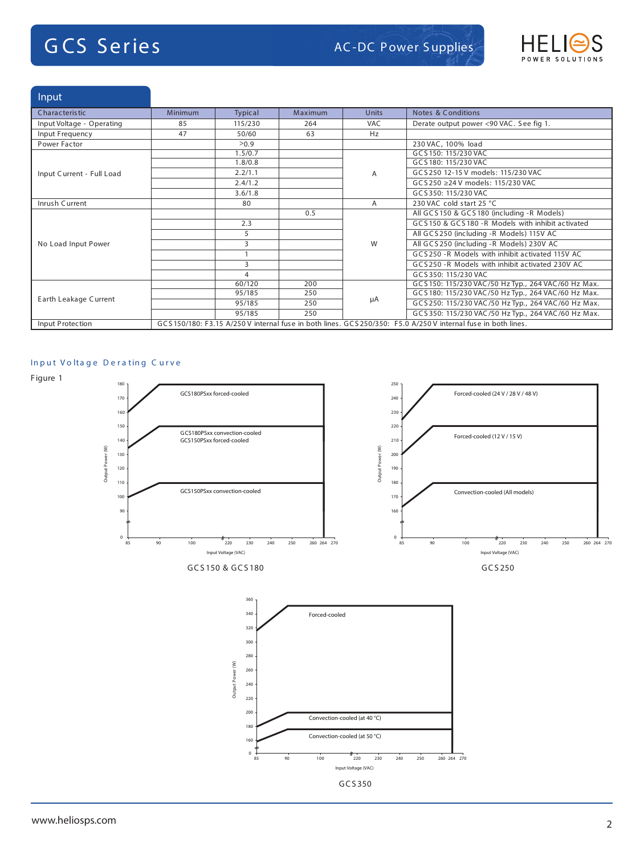# **G CS Series**



Input

| Characteristic            | <b>Minimum</b>                                                                                                 | Typical | Maximum | <b>Units</b> | <b>Notes &amp; Conditions</b>                       |  |
|---------------------------|----------------------------------------------------------------------------------------------------------------|---------|---------|--------------|-----------------------------------------------------|--|
| Input Voltage - Operating | 85                                                                                                             | 115/230 | 264     | <b>VAC</b>   | Derate output power <90 VAC. See fig 1.             |  |
| Input Frequency           | 47                                                                                                             | 50/60   | 63      | Hz           |                                                     |  |
| Power Factor              |                                                                                                                | >0.9    |         |              | 230 VAC, 100% load                                  |  |
|                           |                                                                                                                | 1.5/0.7 |         |              | GCS 150: 115/230 VAC                                |  |
|                           |                                                                                                                | 1.8/0.8 |         |              | GCS180: 115/230 VAC                                 |  |
| Input Current - Full Load |                                                                                                                | 2.2/1.1 |         | A            | GCS250 12-15 V models: 115/230 VAC                  |  |
|                           |                                                                                                                | 2.4/1.2 |         |              | GCS250 ≥24 V models: 115/230 VAC                    |  |
|                           |                                                                                                                | 3.6/1.8 |         |              | GCS350: 115/230 VAC                                 |  |
| Inrush Current            |                                                                                                                | 80      |         | A            | 230 VAC cold start 25 °C                            |  |
|                           |                                                                                                                |         | 0.5     |              | All GCS 150 & GCS 180 (including -R Models)         |  |
|                           |                                                                                                                | 2.3     |         |              | GCS150 & GCS180 -R Models with inhibit activated    |  |
|                           |                                                                                                                | 5       |         |              | All GCS 250 (including -R Models) 115V AC           |  |
| No Load Input Power       |                                                                                                                | 3       |         | W            | All GCS250 (including -R Models) 230V AC            |  |
|                           |                                                                                                                |         |         |              | GCS250 - R Models with inhibit activated 115V AC    |  |
|                           |                                                                                                                | 3       |         |              | GCS 250 -R Models with inhibit activated 230V AC    |  |
|                           |                                                                                                                | 4       |         |              | GCS350: 115/230 VAC                                 |  |
|                           |                                                                                                                | 60/120  | 200     |              | GCS 150: 115/230 VAC/50 Hz Typ., 264 VAC/60 Hz Max. |  |
|                           |                                                                                                                | 95/185  | 250     |              | GCS 180: 115/230 VAC/50 Hz Typ., 264 VAC/60 Hz Max. |  |
| Earth Leakage Current     |                                                                                                                | 95/185  | 250     | μA           | GCS 250: 115/230 VAC/50 Hz Typ., 264 VAC/60 Hz Max. |  |
|                           |                                                                                                                | 95/185  | 250     |              | GCS 350: 115/230 VAC/50 Hz Typ., 264 VAC/60 Hz Max. |  |
| Input Protection          | GCS 150/180: F3.15 A/250 V internal fuse in both lines. GCS 250/350: F5.0 A/250 V internal fuse in both lines. |         |         |              |                                                     |  |

### **In p u t V o lta g e D e r a tin g C u r v e**





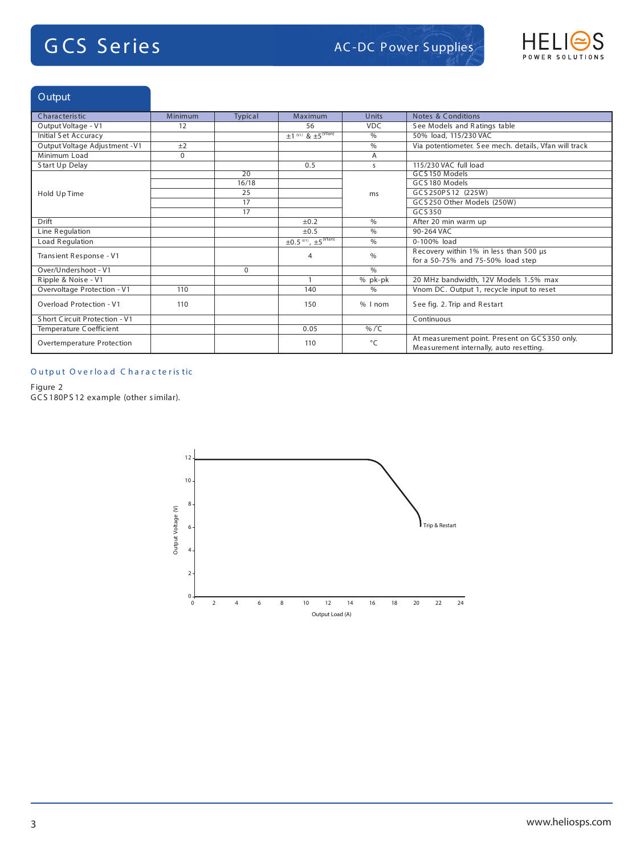

## Output

| <b>Characteristic</b>          | Minimum  | <b>Typical</b>  | Maximum                                             | <b>Units</b>   | <b>Notes &amp; Conditions</b>                                                            |
|--------------------------------|----------|-----------------|-----------------------------------------------------|----------------|------------------------------------------------------------------------------------------|
| Output Voltage - V1            | 12       |                 | 56                                                  | <b>VDC</b>     | See Models and Ratings table                                                             |
| Initial Set Accuracy           |          |                 | $\pm 1$ <sup>(V1)</sup> & $\pm 5$ <sup>(Vfan)</sup> | $\%$           | 50% load, 115/230 VAC                                                                    |
| Output Voltage Adjustment - V1 | ±2       |                 |                                                     | $\frac{0}{0}$  | Via potentiometer. See mech. details, Vfan will track                                    |
| Minimum Load                   | $\Omega$ |                 |                                                     | A              |                                                                                          |
| Start Up Delay                 |          |                 | 0.5                                                 | S              | 115/230 VAC full load                                                                    |
|                                |          | $\overline{20}$ |                                                     |                | GCS150 Models                                                                            |
|                                |          | 16/18           |                                                     |                | GCS180 Models                                                                            |
| Hold Up Time                   |          | 25              |                                                     | ms             | GCS250PS12 (225W)                                                                        |
|                                |          | 17              |                                                     |                | GCS250 Other Models (250W)                                                               |
|                                |          | 17              |                                                     |                | GCS350                                                                                   |
| Drift                          |          |                 | ±0.2                                                | $\frac{0}{0}$  | After 20 min warm up                                                                     |
| Line Regulation                |          |                 | ±0.5                                                | $\%$           | 90-264 VAC                                                                               |
| Load Regulation                |          |                 | $\pm 0.5^{(V1)}$ , $\pm 5^{(Vfan)}$                 | $\frac{0}{0}$  | 0-100% load                                                                              |
| Transient Response - V1        |          |                 | 4                                                   | $\%$           | Recovery within 1% in less than 500 us                                                   |
|                                |          |                 |                                                     |                | for a 50-75% and 75-50% load step                                                        |
| Over/Undershoot - V1           |          | $\Omega$        |                                                     | $\%$           |                                                                                          |
| Ripple & Noise - V1            |          |                 |                                                     | % pk-pk        | 20 MHz bandwidth, 12V Models 1.5% max                                                    |
| Overvoltage Protection - V1    | 110      |                 | 140                                                 | $\%$           | Vnom DC. Output 1, recycle input to reset                                                |
| Overload Protection - V1       | 110      |                 | 150                                                 | % I nom        | See fig. 2. Trip and Restart                                                             |
| Short Circuit Protection - V1  |          |                 |                                                     |                | Continuous                                                                               |
| Temperature Coefficient        |          |                 | 0.05                                                | % $/^{\circ}C$ |                                                                                          |
| Overtemperature Protection     |          |                 | 110                                                 | $\circ$ C      | At measurement point. Present on GCS350 only.<br>Measurement internally, auto resetting. |

## **O u tp u t O v e r lo a d C h a r a c te r is tic** 1

## Figure 2

GCS 180P S 12 example (other similar).

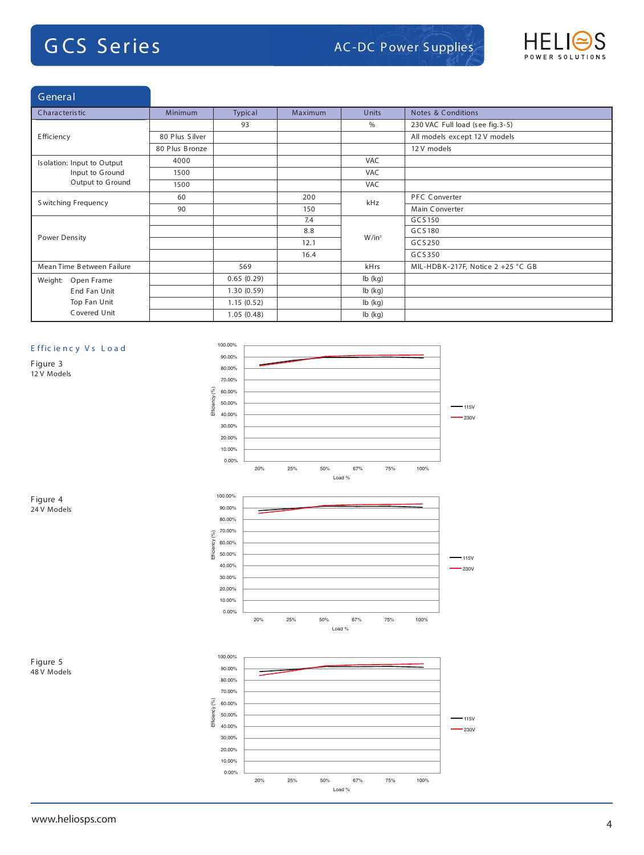

| General                    |                |            |                |              |                                   |
|----------------------------|----------------|------------|----------------|--------------|-----------------------------------|
| Characteristic             | <b>Minimum</b> | Typical    | <b>Maximum</b> | <b>Units</b> | <b>Notes &amp; Conditions</b>     |
|                            |                | 93         |                | $\%$         | 230 VAC Full load (see fig.3-5)   |
| Efficiency                 | 80 Plus Silver |            |                |              | All models except 12 V models     |
|                            | 80 Plus Bronze |            |                |              | 12 V models                       |
| Isolation: Input to Output | 4000           |            |                | VAC          |                                   |
| Input to Ground            | 1500           |            |                | VAC          |                                   |
| Output to Ground           | 1500           |            |                | VAC          |                                   |
| Switching Frequency        | 60             |            | 200            | kHz          | <b>PFC Converter</b>              |
|                            | 90             |            | 150            |              | Main Converter                    |
|                            |                |            | 7.4            |              | GCS150                            |
| Power Density              |                |            | 8.8            | $W/in^3$     | GCS180                            |
|                            |                |            | 12.1           |              | GCS250                            |
|                            |                |            | 16.4           |              | GCS350                            |
| Mean Time Between Failure  |                | 569        |                | kHrs         | MIL-HDBK-217F, Notice 2 +25 °C GB |
| Weight:<br>Open Frame      |                | 0.65(0.29) |                | $lb$ (kg)    |                                   |
| End Fan Unit               |                | 1.30(0.59) |                | $lb$ (kg)    |                                   |
| Top Fan Unit               |                | 1.15(0.52) |                | $lb$ (kg)    |                                   |
| Covered Unit               |                | 1.05(0.48) |                | $lb$ (kg)    |                                   |

### **E ffic ie n c y V s L o a d**

Figure 3 12 V Models



20% 25% 50% 67% 75% 100% Load %

0.00%

Figure 4 24 V Models

Figure 5 48 V Models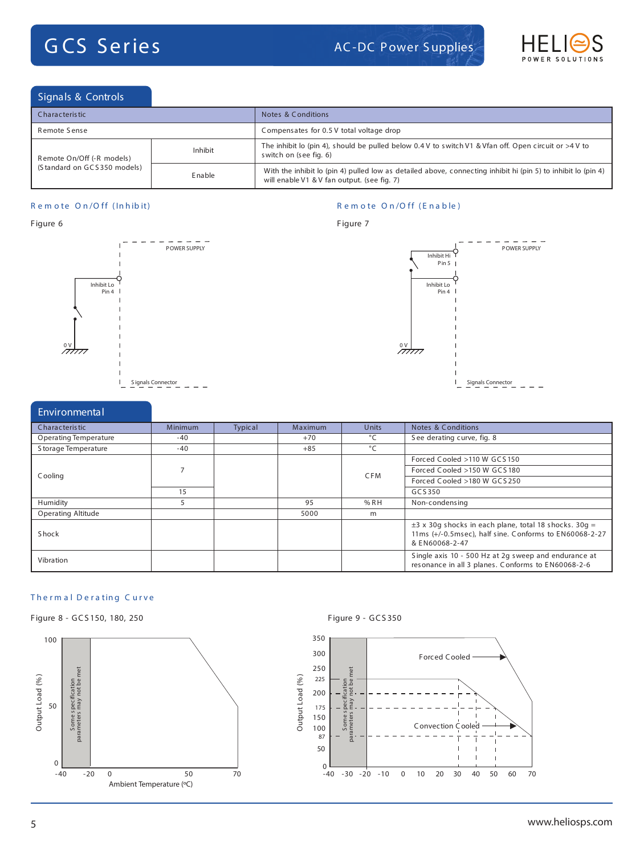

## Signals & Controls

| Characteristic              |         | Notes & Conditions                                                                                                                                           |  |  |  |
|-----------------------------|---------|--------------------------------------------------------------------------------------------------------------------------------------------------------------|--|--|--|
| Remote Sense                |         | Compensates for 0.5 V total voltage drop                                                                                                                     |  |  |  |
| Remote On/Off (-R models)   | Inhibit | The inhibit lo (pin 4), should be pulled below 0.4 V to switch V1 & Vfan off. Open circuit or >4 V to<br>switch on (see fig. 6)                              |  |  |  |
| (Standard on GCS350 models) | Enable  | With the inhibit lo (pin 4) pulled low as detailed above, connecting inhibit hi (pin 5) to inhibit lo (pin 4)<br>will enable V1 & V fan output. (see fig. 7) |  |  |  |

Figure 7

### **R e m o te O n /O ff ( In h ib it)**

### **R e m o te O n /O ff ( E n a b le )**

### Figure 6





| Environmental                |                |         |         |              |                                                                                                                                        |
|------------------------------|----------------|---------|---------|--------------|----------------------------------------------------------------------------------------------------------------------------------------|
| Characteristic               | <b>Minimum</b> | Typical | Maximum | Units        | Notes & Conditions                                                                                                                     |
| <b>Operating Temperature</b> | $-40$          |         | $+70$   | $^{\circ}$ C | See derating curve, fig. 8                                                                                                             |
| S torage Temperature         | -40            |         | $+85$   | $^{\circ}$ C |                                                                                                                                        |
|                              |                |         |         |              | Forced Cooled >110 W GCS 150                                                                                                           |
| Cooling                      |                |         |         | <b>CFM</b>   | Forced Cooled >150 W GCS 180                                                                                                           |
|                              |                |         |         |              | Forced Cooled >180 W GCS 250                                                                                                           |
|                              | 15             |         |         |              | GCS350                                                                                                                                 |
| Humidity                     | 5              |         | 95      | % RH         | Non-condensing                                                                                                                         |
| <b>Operating Altitude</b>    |                |         | 5000    | m            |                                                                                                                                        |
| <b>Shock</b>                 |                |         |         |              | $\pm$ 3 x 30g shocks in each plane, total 18 shocks. 30g =<br>11ms (+/-0.5msec), half sine. Conforms to EN60068-2-27<br>& EN60068-2-47 |
| Vibration                    |                |         |         |              | Single axis 10 - 500 Hz at 2g sweep and endurance at<br>resonance in all 3 planes. Conforms to EN60068-2-6                             |

### **T h e r m a l D e r a tin g C u r v e**







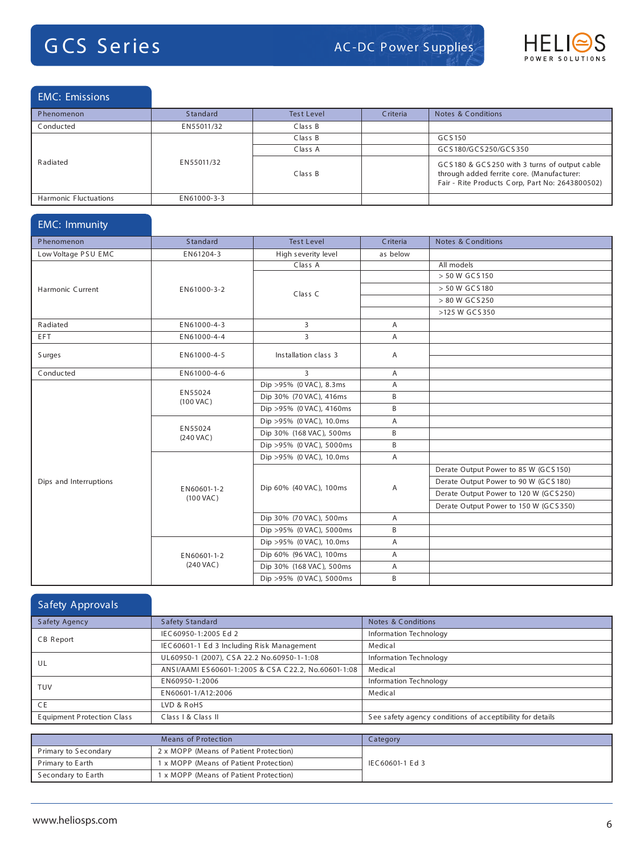

### EMC: Emissions

| Phenomenon            | <b>Standard</b> | <b>Test Level</b> | Criteria | Notes & Conditions                                                                                                                            |
|-----------------------|-----------------|-------------------|----------|-----------------------------------------------------------------------------------------------------------------------------------------------|
| Conducted             | EN55011/32      | Class B           |          |                                                                                                                                               |
| Radiated              |                 | Class B           |          | GCS150                                                                                                                                        |
|                       | EN55011/32      | Class A           |          | GCS180/GCS250/GCS350                                                                                                                          |
|                       |                 | Class B           |          | GCS180 & GCS250 with 3 turns of output cable<br>through added ferrite core. (Manufacturer:<br>Fair - Rite Products Corp, Part No: 2643800502) |
| Harmonic Fluctuations | EN61000-3-3     |                   |          |                                                                                                                                               |

### EMC: Immunity

| Phenomenon             | Standard                           | <b>Test Level</b>        | Criteria | Notes & Conditions                    |
|------------------------|------------------------------------|--------------------------|----------|---------------------------------------|
| Low Voltage PSU EMC    | EN61204-3                          | High severity level      | as below |                                       |
|                        |                                    | Class A                  |          | All models                            |
|                        |                                    |                          |          | > 50 W GCS 150                        |
| Harmonic Current       | EN61000-3-2                        | Class C                  |          | > 50 W GCS 180                        |
|                        |                                    |                          |          | > 80 W GCS250                         |
|                        |                                    |                          |          | >125 W GCS350                         |
| Radiated               | EN61000-4-3                        | 3                        | A        |                                       |
| EFT.                   | EN61000-4-4                        | $\overline{3}$           | Α        |                                       |
| Surges                 | EN61000-4-5                        | Installation class 3     | Α        |                                       |
|                        |                                    |                          |          |                                       |
| Conducted              | EN61000-4-6                        | 3                        | A        |                                       |
|                        |                                    | Dip >95% (0 VAC), 8.3ms  | A        |                                       |
|                        | EN55024<br>$(100 \text{ VAC})$     | Dip 30% (70 VAC), 416ms  | B        |                                       |
|                        |                                    | Dip >95% (0 VAC), 4160ms | B        |                                       |
|                        | EN55024<br>$(240 \text{ VAC})$     | Dip >95% (0 VAC), 10.0ms | Α        |                                       |
|                        |                                    | Dip 30% (168 VAC), 500ms | B        |                                       |
|                        |                                    | Dip >95% (0 VAC), 5000ms | B        |                                       |
|                        |                                    | Dip >95% (0 VAC), 10.0ms | A        |                                       |
|                        |                                    |                          |          | Derate Output Power to 85 W (GCS 150) |
| Dips and Interruptions |                                    | Dip 60% (40 VAC), 100ms  | Α        | Derate Output Power to 90 W (GCS 180) |
|                        | EN60601-1-2<br>$(100 \text{ VAC})$ |                          |          | Derate Output Power to 120 W (GCS250) |
|                        |                                    |                          |          | Derate Output Power to 150 W (GCS350) |
|                        |                                    | Dip 30% (70 VAC), 500ms  | A        |                                       |
|                        |                                    | Dip >95% (0 VAC), 5000ms | B        |                                       |
|                        |                                    | Dip >95% (0 VAC), 10.0ms | Α        |                                       |
|                        | EN60601-1-2                        | Dip 60% (96 VAC), 100ms  | A        |                                       |
|                        | $(240$ VAC)                        | Dip 30% (168 VAC), 500ms | Α        |                                       |
|                        |                                    | Dip >95% (0 VAC), 5000ms | B        |                                       |

### Safety Approvals Safety Agency Safety Standard Safety Standard Notes & Conditions CB Report IEC60950-1:2005 Ed 2 IEC60950-1:2005 Ed 2 Information Technology<br>IEC60601-1 Ed 3 Including Risk Management Medical IEC60601-1 Ed 3 Including Risk Management UL UL60950-1 (2007), CSA 22.2 No.60950-1-1:08 | Information Technology ANS I/AAMI ES 60601-1:2005 & CSA C22.2, No.60601-1:08 | Medical TUV EN60950-1:2006 Information Technology EN60601-1/A12:2006 Medical CE LVD & RoHS Equipment Protection Class Class I & Class II See safety agency conditions of acceptibility for details

|                                                            | Means of Protection                    | Category        |
|------------------------------------------------------------|----------------------------------------|-----------------|
| Primary to Secondary                                       | 2 x MOPP (Means of Patient Protection) |                 |
| 1 x MOPP (Means of Patient Protection)<br>Primary to Earth |                                        | IEC60601-1 Ed 3 |
| Secondary to Earth                                         | 1 x MOPP (Means of Patient Protection) |                 |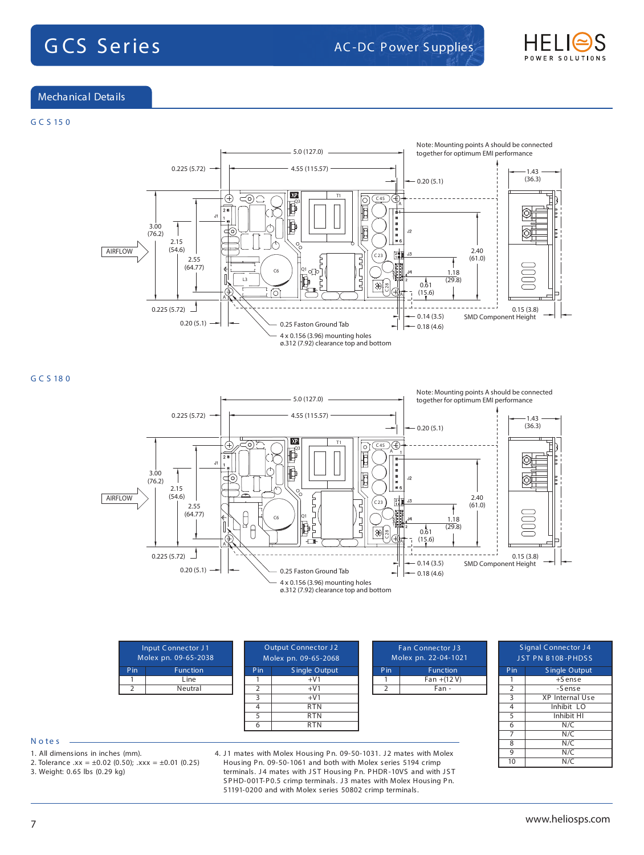

### Mechanical Details

### **G C S 15 0**



**G C S 18 0**



|                 | Input Connector J1<br>Molex pn. 09-65-2038 | <b>Output Connector J2</b><br>Molex pn. 09-65-2068 |               | <b>Fan Connector J3</b><br>Molex pn. 22-04-1021 |                 |  |     | Signal Connector J4<br>JST PN B10B-PHDSS |
|-----------------|--------------------------------------------|----------------------------------------------------|---------------|-------------------------------------------------|-----------------|--|-----|------------------------------------------|
| P <sub>in</sub> | Function                                   | P <sub>in</sub>                                    | Single Output | Pin                                             | <b>Function</b> |  | Pin | Single Output                            |
|                 | Line                                       |                                                    | $+V1$         |                                                 | $Fan + (12 V)$  |  |     | $+S$ ense                                |
|                 | Neutral                                    |                                                    | $+V1$         |                                                 | Fan -           |  |     | -Sense                                   |
|                 |                                            |                                                    | $+V1$         |                                                 |                 |  |     | XP Internal Use                          |
|                 |                                            | 4                                                  | <b>RTN</b>    |                                                 |                 |  |     | Inhibit LO                               |
|                 |                                            |                                                    | <b>RTN</b>    |                                                 |                 |  |     | Inhibit HI                               |
|                 |                                            |                                                    | <b>RTN</b>    |                                                 |                 |  | 6   | N/C                                      |

### **N o te s**

- 1. All dimensions in inches (mm).
- 2. Tolerance .xx =  $\pm 0.02$  (0.50); .xxx =  $\pm 0.01$  (0.25)
- 3. Weight: 0.65 lbs (0.29 kg)

4. J1 mates with Molex Housing Pn. 09-50-1031. J2 mates with Molex Housing Pn. 09-50-1061 and both with Molex series 5194 crimp terminals. J4 mates with JST Housing Pn. PHDR-10VS and with JST SPHD-001T-P0.5 crimp terminals. J3 mates with Molex Housing Pn. 51191-0200 and with Molex series 50802 crimp terminals.

 $N/C$ 

 $N/C$ 

 $\begin{array}{c|c}\n7 & N/C \\
8 & N/C\n\end{array}$ 

 $\frac{9}{10}$  N/C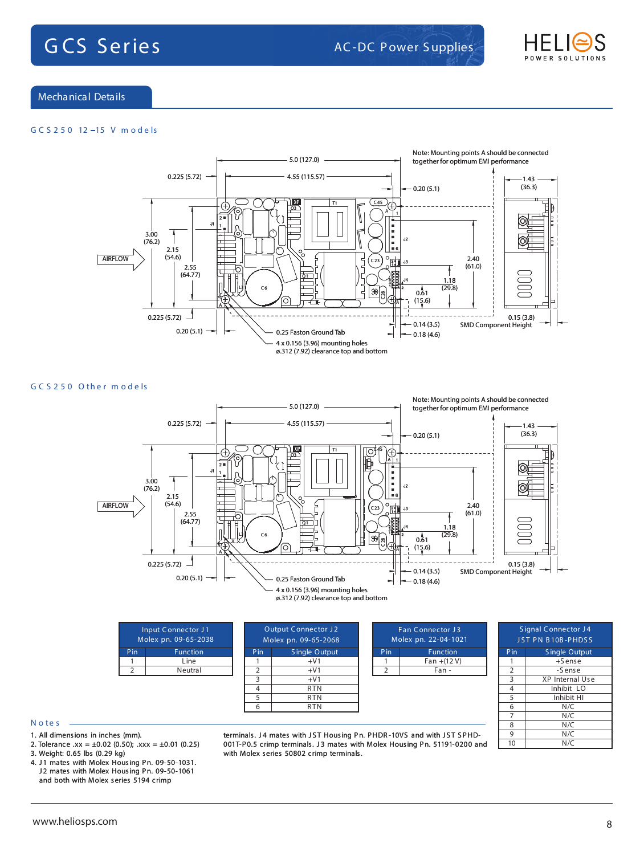

### Mechanical Details

### **G C S 2 5 0 12 15 V m o d e ls**



**G C S 2 5 0 O th e r m o d e ls**



| <b>Input Connector J1</b><br>Molex pn. 09-65-2038 |                 | <b>Output Connector J2</b><br>Molex pn. 09-65-2068 |               |  |     | <b>Fan Con</b><br>Molex pn. |
|---------------------------------------------------|-----------------|----------------------------------------------------|---------------|--|-----|-----------------------------|
| Pin                                               | <b>Function</b> | Pin                                                | Single Output |  | Pin |                             |
|                                                   | Line            |                                                    | $+V1$         |  |     |                             |
|                                                   | Neutral         |                                                    | $+V1$         |  |     |                             |
|                                                   |                 | ঽ                                                  | $+V1$         |  |     |                             |
|                                                   |                 | 4                                                  | <b>RTN</b>    |  |     |                             |
|                                                   |                 |                                                    | <b>RTN</b>    |  |     |                             |
|                                                   |                 |                                                    | RTN           |  |     |                             |

|   | <b>Signal Connector J4</b> |                      |  |  |  |  |  |
|---|----------------------------|----------------------|--|--|--|--|--|
|   | JST PN B10B-PHDSS          |                      |  |  |  |  |  |
|   | Pin                        | <b>Single Output</b> |  |  |  |  |  |
|   |                            | $+S$ ense            |  |  |  |  |  |
|   | $\overline{2}$             | -Sense               |  |  |  |  |  |
|   | $\overline{\mathbf{3}}$    | XP Internal Use      |  |  |  |  |  |
|   | 4                          | Inhibit LO           |  |  |  |  |  |
|   | 5                          | Inhibit HI           |  |  |  |  |  |
|   | $\overline{6}$             | N/C                  |  |  |  |  |  |
|   | 7                          | N/C                  |  |  |  |  |  |
|   | 8                          | N/C                  |  |  |  |  |  |
|   | 9                          | N/C                  |  |  |  |  |  |
| d | 10                         | $\overline{N}/C$     |  |  |  |  |  |

nector J3 Molex pn. 22-04-1021 **Function**  $\frac{1}{2}$ an +(12 V)  $Fan -$ 

### **N o te s**

- 1. All dimensions in inches (mm).
- 2. Tolerance .xx =  $\pm 0.02$  (0.50); .xxx =  $\pm 0.01$  (0.25)
- 3. Weight: 0.65 lbs (0.29 kg)
- 4. J1 mates with Molex Housing Pn. 09-50-1031. J2 mates with Molex Housing Pn. 09-50-1061 and both with Molex series 5194 crimp

terminals. J4 mates with JST Housing Pn. PHDR-10VS and with JST SPHD-001T-P0.5 crimp terminals. J3 mates with Molex Housing Pn. 51191-0200 and with Molex series 50802 crimp terminals.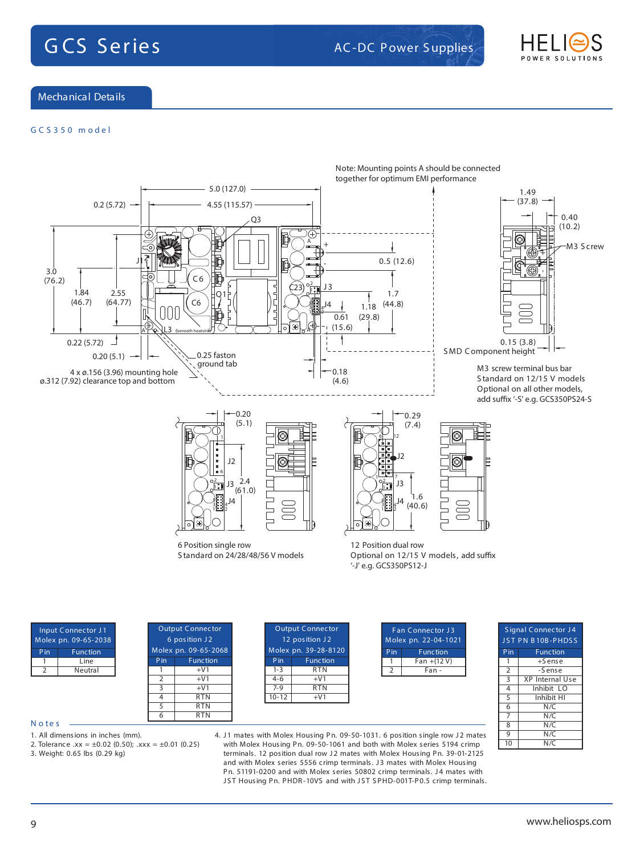

Mechanical Details

### **G C S 3 5 0 m o d e l**



### **N o te s**

1. All dimensions in inches (mm).

2. Tolerance .xx =  $\pm 0.02$  (0.50); .xxx =  $\pm 0.01$  (0.25)

3. Weight: 0.65 lbs (0.29 kg)

4. J1 mates with Molex Housing Pn. 09-50-1031. 6 position single row J2 mates with Molex Housing Pn. 09-50-1061 and both with Molex series 5194 crimp terminals. 12 position dual row J2 mates with Molex Housing Pn. 39-01-2125 and with Molex series 5556 crimp terminals. J3 mates with Molex Housing Pn. 51191-0200 and with Molex series 50802 crimp terminals. J4 mates with JST Housing Pn. PHDR-10VS and with JST SPHD-001T-P0.5 crimp terminals.  $9$  N/C  $10$  N/C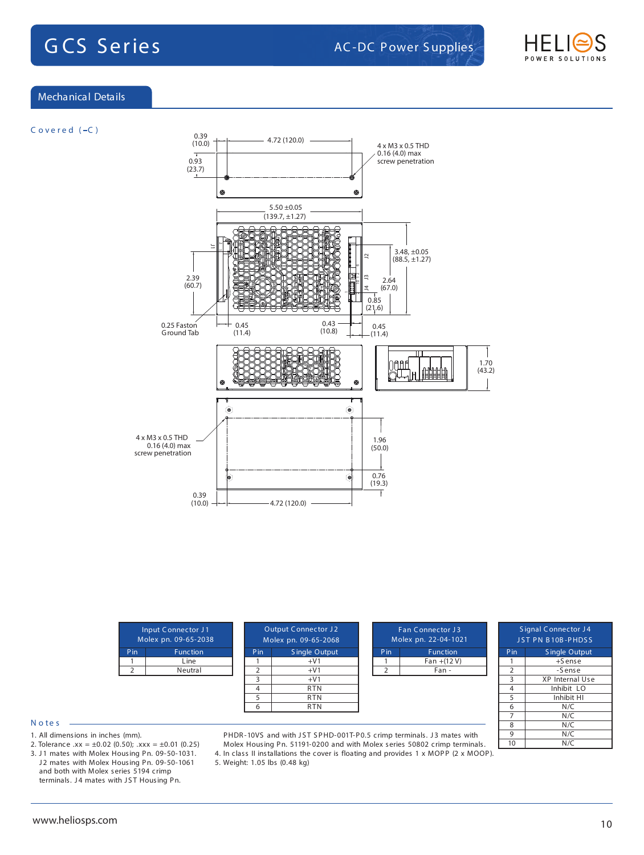

### Mechanical Details

**C o v e r e d ( C )**



| Input Connector J1<br>Molex pn. 09-65-2038 |                 |                | <b>Output Connector J2</b><br>Molex pn. 09-65-2068 |  | Fan Connector J3<br>Molex pn. 22-04-1021 |                 | Signal Connect<br>JST PN B10B-PI |           |
|--------------------------------------------|-----------------|----------------|----------------------------------------------------|--|------------------------------------------|-----------------|----------------------------------|-----------|
| Pin                                        | <b>Function</b> | Pin            | Single Output                                      |  | Pin                                      | <b>Function</b> | Pin                              | Single O  |
|                                            | Line            |                | $+V1$                                              |  |                                          | $Fan + (12 V)$  |                                  | $+$ Sen   |
|                                            | Neutral         |                | $+V1$                                              |  |                                          | Fan -           |                                  | -Sens     |
|                                            |                 |                | $+V1$                                              |  |                                          |                 |                                  | XP Intern |
|                                            |                 | $\overline{4}$ | <b>RTN</b>                                         |  |                                          |                 | 4                                | Inhibit   |
|                                            |                 |                | <b>RTN</b>                                         |  |                                          |                 |                                  | Inhibit   |
|                                            |                 | 6              | <b>RTN</b>                                         |  |                                          |                 | 6                                | N/C       |
|                                            |                 |                |                                                    |  |                                          |                 |                                  | N/C       |

| $\sim$<br>$\sim$<br>-<br>۰,<br>× |
|----------------------------------|
|----------------------------------|

- 1. All dimensions in inches (mm).
- 2. Tolerance .xx =  $\pm 0.02$  (0.50); .xxx =  $\pm 0.01$  (0.25)
- 3. J1 mates with Molex Housing Pn. 09-50-1031. J2 mates with Molex Housing Pn. 09-50-1061 and both with Molex series 5194 crimp terminals. J4 mates with JST Housing Pn.

PHDR-10VS and with JST SPHD-001T-P0.5 crimp terminals. J3 mates with Molex Housing Pn. 51191-0200 and with Molex series 50802 crimp terminals.

4. In class II installations the cover is floating and provides 1 x MOPP (2 x MOOP).

5. Weight: 1.05 lbs (0.48 kg)

gnal Connector J4 PN B10B-PHDSS **Single Output** +S ense -Sense 3 XP Internal Use Inhibit LO Inhibit HI

 $N/C$ 

 $N/C$ 

 $8$  N/C 9 N/C<br>10 N/C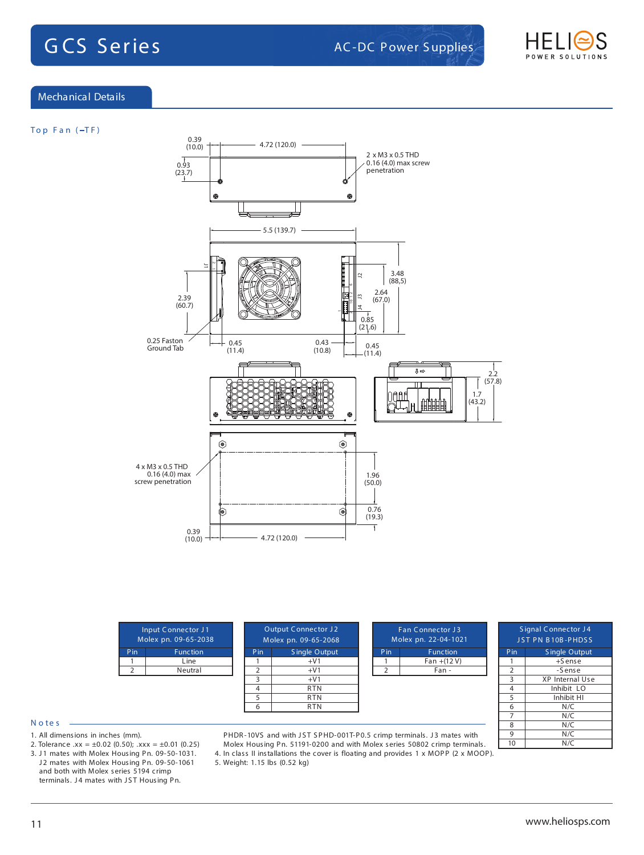

### Mechanical Details

### **To p F a n ( T F )**



|     | Input Connector J1<br>Molex pn. 09-65-2038 |  |
|-----|--------------------------------------------|--|
| Pin | <b>Function</b>                            |  |
|     | Line                                       |  |
|     | Neutral                                    |  |
|     |                                            |  |

| <b>Output Connector J2</b><br>Molex pn. 09-65-2068 |                      |  |
|----------------------------------------------------|----------------------|--|
| Pin                                                | <b>Single Output</b> |  |
|                                                    | $+V1$                |  |
| $\overline{2}$                                     | $+V1$                |  |
| 3                                                  | $+V1$                |  |
| 4                                                  | <b>RTN</b>           |  |
| 5                                                  | <b>RTN</b>           |  |
| ĥ                                                  | <b>RTN</b>           |  |
|                                                    |                      |  |

| <b>Fan Connector J3</b><br>Molex pn. 22-04-1021 |                |  |
|-------------------------------------------------|----------------|--|
| Pin                                             | Function       |  |
|                                                 | $Fan + (12 V)$ |  |
|                                                 | Fan -          |  |
|                                                 |                |  |
|                                                 |                |  |

|                         | <b>Signal Connector J4</b><br>JST PN B10B-PHDSS |  |  |
|-------------------------|-------------------------------------------------|--|--|
| $P$ in                  | <b>Single Output</b>                            |  |  |
| 1                       | $+S$ ense                                       |  |  |
| $\overline{2}$          | -Sense                                          |  |  |
| $\overline{\mathbf{3}}$ | XP Internal Use                                 |  |  |
| $\overline{4}$          | Inhibit LO                                      |  |  |
| 5                       | Inhibit HI                                      |  |  |
| $\overline{6}$          | N/C                                             |  |  |
| 7                       | N/C                                             |  |  |
| 8                       | N/C                                             |  |  |
| 9                       | $\overline{\mathsf{N}}$ /C                      |  |  |
| 10                      | N/C                                             |  |  |

### **N o te s**

- 1. All dimensions in inches (mm).
- 2. Tolerance .xx =  $\pm 0.02$  (0.50); .xxx =  $\pm 0.01$  (0.25)
- 3. J1 mates with Molex Housing Pn. 09-50-1031. J2 mates with Molex Housing Pn. 09-50-1061 and both with Molex series 5194 crimp terminals. J4 mates with JST Housing Pn.

PHDR-10VS and with JST SPHD-001T-P0.5 crimp terminals. J3 mates with Molex Housing Pn. 51191-0200 and with Molex series 50802 crimp terminals.

4. In class II installations the cover is floating and provides 1 x MOPP (2 x MOOP).

5. Weight: 1.15 lbs (0.52 kg)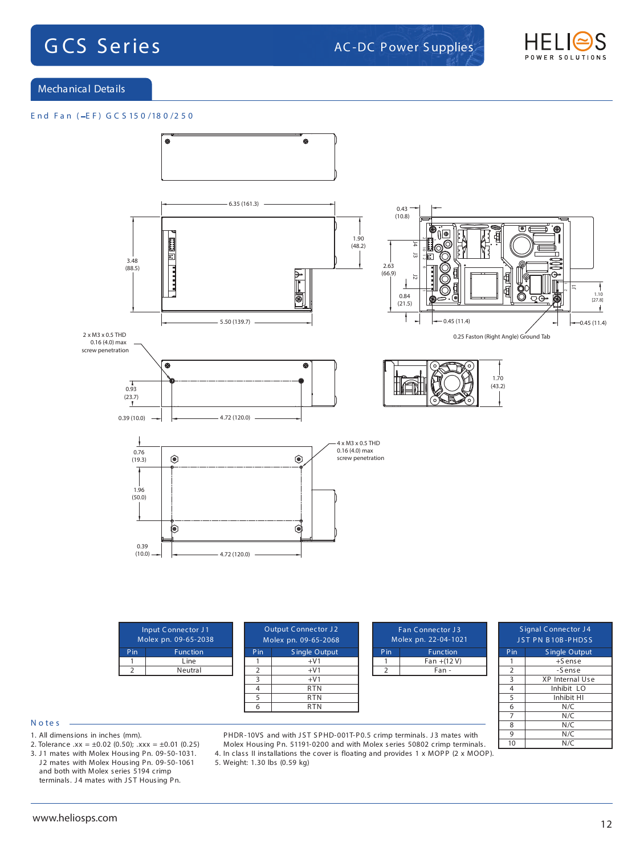

Mechanical Details

### **E n d F a n ( E F ) G C S 15 0 /18 0 /2 5 0**



### **N o te s**

- 1. All dimensions in inches (mm).
- 2. Tolerance .xx =  $\pm 0.02$  (0.50); .xxx =  $\pm 0.01$  (0.25)
- 3. J1 mates with Molex Housing Pn. 09-50-1031. J2 mates with Molex Housing Pn. 09-50-1061 and both with Molex series 5194 crimp terminals. J4 mates with JST Housing Pn.

PHDR-10VS and with JST SPHD-001T-P0.5 crimp terminals. J3 mates with Molex Housing Pn. 51191-0200 and with Molex series 50802 crimp terminals.

4. In class II installations the cover is floating and provides 1 x MOPP (2 x MOOP).

5. Weight: 1.30 lbs (0.59 kg)

 $N/C$ 

 $N/C$ 

 $8$  N/C 9 N/C<br>10 N/C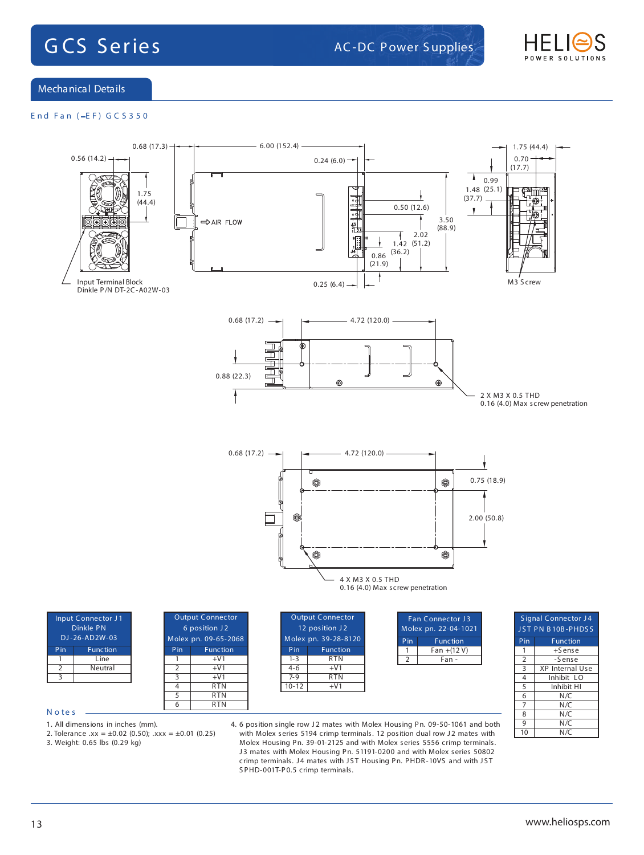

Mechanical Details

### **E n d F a n ( E F ) G C S 3 5 0**



1. All dimensions in inches (mm).

- 2. Tolerance  $xx = \pm 0.02$  (0.50);  $xxx = \pm 0.01$  (0.25)
- 3. Weight: 0.65 lbs (0.29 kg)

4. 6 position single row J2 mates with Molex Housing Pn. 09-50-1061 and both with Molex series 5194 crimp terminals. 12 position dual row J2 mates with Molex Housing Pn. 39-01-2125 and with Molex series 5556 crimp terminals. J3 mates with Molex Housing Pn. 51191-0200 and with Molex series 50802 crimp terminals. J4 mates with JST Housing Pn. PHDR-10VS and with JST S PHD-001T-P0.5 crimp terminals.

 $N/C$